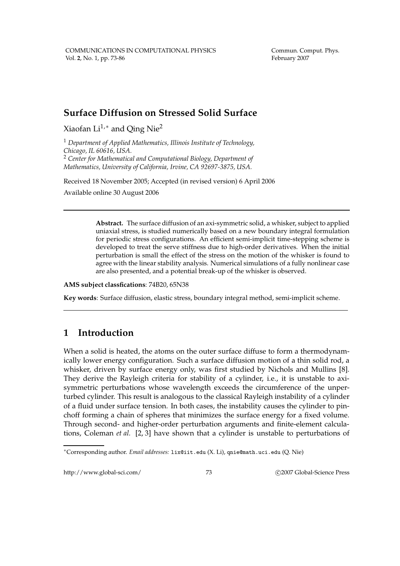Commun. Comput. Phys. February 2007

## **Surface Diffusion on Stressed Solid Surface**

Xiaofan Li<sup>1,\*</sup> and Qing Nie<sup>2</sup>

<sup>1</sup> *Department of Applied Mathematics, Illinois Institute of Technology, Chicago, IL 60616, USA.* <sup>2</sup> *Center for Mathematical and Computational Biology, Department of Mathematics, University of California, Irvine, CA 92697-3875, USA.*

Received 18 November 2005; Accepted (in revised version) 6 April 2006 Available online 30 August 2006

> **Abstract.** The surface diffusion of an axi-symmetric solid, a whisker, subject to applied uniaxial stress, is studied numerically based on a new boundary integral formulation for periodic stress configurations. An efficient semi-implicit time-stepping scheme is developed to treat the serve stiffness due to high-order derivatives. When the initial perturbation is small the effect of the stress on the motion of the whisker is found to agree with the linear stability analysis. Numerical simulations of a fully nonlinear case are also presented, and a potential break-up of the whisker is observed.

**AMS subject classfications**: 74B20, 65N38

**Key words**: Surface diffusion, elastic stress, boundary integral method, semi-implicit scheme.

### **1 Introduction**

When a solid is heated, the atoms on the outer surface diffuse to form a thermodynamically lower energy configuration. Such a surface diffusion motion of a thin solid rod, a whisker, driven by surface energy only, was first studied by Nichols and Mullins [8]. They derive the Rayleigh criteria for stability of a cylinder, i.e., it is unstable to axisymmetric perturbations whose wavelength exceeds the circumference of the unperturbed cylinder. This result is analogous to the classical Rayleigh instability of a cylinder of a fluid under surface tension. In both cases, the instability causes the cylinder to pinchoff forming a chain of spheres that minimizes the surface energy for a fixed volume. Through second- and higher-order perturbation arguments and finite-element calculations, Coleman *et al.* [2, 3] have shown that a cylinder is unstable to perturbations of

http://www.global-sci.com/ 73 c 2007 Global-Science Press

<sup>∗</sup>Corresponding author. *Email addresses:* lix@iit.edu (X. Li), qnie@math.uci.edu (Q. Nie)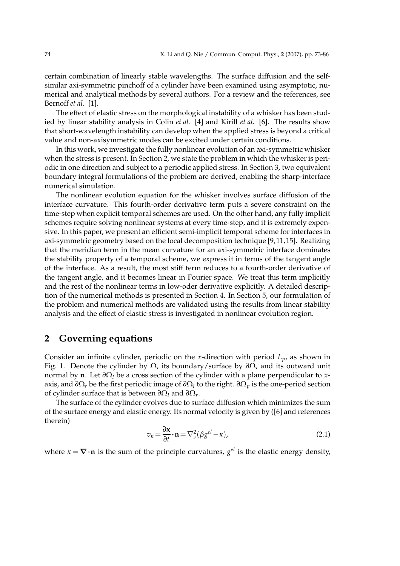certain combination of linearly stable wavelengths. The surface diffusion and the selfsimilar axi-symmetric pinchoff of a cylinder have been examined using asymptotic, numerical and analytical methods by several authors. For a review and the references, see Bernoff *et al.* [1].

The effect of elastic stress on the morphological instability of a whisker has been studied by linear stability analysis in Colin *et al.* [4] and Kirill *et al.* [6]. The results show that short-wavelength instability can develop when the applied stress is beyond a critical value and non-axisymmetric modes can be excited under certain conditions.

In this work, we investigate the fully nonlinear evolution of an axi-symmetric whisker when the stress is present. In Section 2, we state the problem in which the whisker is periodic in one direction and subject to a periodic applied stress. In Section 3, two equivalent boundary integral formulations of the problem are derived, enabling the sharp-interface numerical simulation.

The nonlinear evolution equation for the whisker involves surface diffusion of the interface curvature. This fourth-order derivative term puts a severe constraint on the time-step when explicit temporal schemes are used. On the other hand, any fully implicit schemes require solving nonlinear systems at every time-step, and it is extremely expensive. In this paper, we present an efficient semi-implicit temporal scheme for interfaces in axi-symmetric geometry based on the local decomposition technique [9,11,15]. Realizing that the meridian term in the mean curvature for an axi-symmetric interface dominates the stability property of a temporal scheme, we express it in terms of the tangent angle of the interface. As a result, the most stiff term reduces to a fourth-order derivative of the tangent angle, and it becomes linear in Fourier space. We treat this term implicitly and the rest of the nonlinear terms in low-oder derivative explicitly. A detailed description of the numerical methods is presented in Section 4. In Section 5, our formulation of the problem and numerical methods are validated using the results from linear stability analysis and the effect of elastic stress is investigated in nonlinear evolution region.

### **2 Governing equations**

Consider an infinite cylinder, periodic on the *x*-direction with period *Lp*, as shown in Fig. 1. Denote the cylinder by Ω, its boundary/surface by *∂*Ω, and its outward unit normal by **n**. Let *∂*Ω*<sup>l</sup>* be a cross section of the cylinder with a plane perpendicular to *x*axis, and *∂*Ω*<sup>r</sup>* be the first periodic image of *∂*Ω*<sup>l</sup>* to the right. *∂*Ω*<sup>p</sup>* is the one-period section of cylinder surface that is between *∂*Ω*<sup>l</sup>* and *∂*Ω*<sup>r</sup>* .

The surface of the cylinder evolves due to surface diffusion which minimizes the sum of the surface energy and elastic energy. Its normal velocity is given by ([6] and references therein)

$$
v_n = \frac{\partial \mathbf{x}}{\partial t} \cdot \mathbf{n} = \nabla_s^2 (\beta g^{el} - \kappa), \tag{2.1}
$$

where  $\kappa = \nabla \cdot \mathbf{n}$  is the sum of the principle curvatures,  $g^{el}$  is the elastic energy density,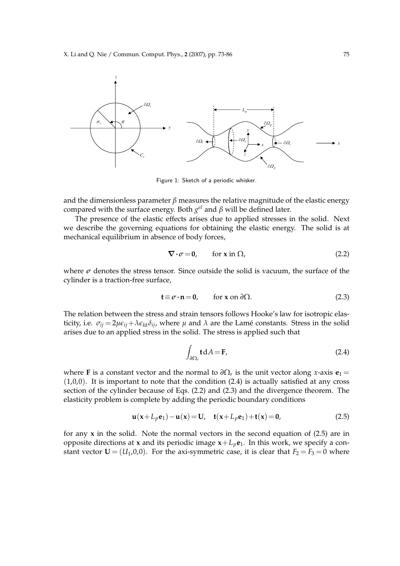

Figure 1: Sketch of a periodic whisker.

and the dimensionless parameter  $\beta$  measures the relative magnitude of the elastic energy compared with the surface energy. Both *g el* and *β* will be defined later.

The presence of the elastic effects arises due to applied stresses in the solid. Next we describe the governing equations for obtaining the elastic energy. The solid is at mechanical equilibrium in absence of body forces,

$$
\nabla \cdot \sigma = 0, \qquad \text{for } x \text{ in } \Omega,
$$
 (2.2)

where  $\sigma$  denotes the stress tensor. Since outside the solid is vacuum, the surface of the cylinder is a traction-free surface,

$$
\mathbf{t} \equiv \boldsymbol{\sigma} \cdot \mathbf{n} = \mathbf{0}, \qquad \text{for } \mathbf{x} \text{ on } \partial \Omega. \tag{2.3}
$$

The relation between the stress and strain tensors follows Hooke's law for isotropic elasticity, i.e.  $\sigma_{ij} = 2\mu\epsilon_{ij} + \lambda\epsilon_{kk}\delta_{ij}$ , where  $\mu$  and  $\lambda$  are the Lamé constants. Stress in the solid arises due to an applied stress in the solid. The stress is applied such that

$$
\int_{\partial \Omega_r} \mathbf{t} \, \mathrm{d}A = \mathbf{F},\tag{2.4}
$$

where **F** is a constant vector and the normal to  $\partial\Omega_r$  is the unit vector along *x*-axis  $\mathbf{e}_1 =$ (1,0,0). It is important to note that the condition (2.4) is actually satisfied at any cross section of the cylinder because of Eqs. (2.2) and (2.3) and the divergence theorem. The elasticity problem is complete by adding the periodic boundary conditions

$$
\mathbf{u}(\mathbf{x} + L_p \mathbf{e}_1) - \mathbf{u}(\mathbf{x}) = \mathbf{U}, \quad \mathbf{t}(\mathbf{x} + L_p \mathbf{e}_1) + \mathbf{t}(\mathbf{x}) = \mathbf{0}, \tag{2.5}
$$

for any **x** in the solid. Note the normal vectors in the second equation of (2.5) are in opposite directions at **x** and its periodic image  $x + L_p e_1$ . In this work, we specify a constant vector  $\mathbf{U} = (U_1, 0, 0)$ . For the axi-symmetric case, it is clear that  $F_2 = F_3 = 0$  where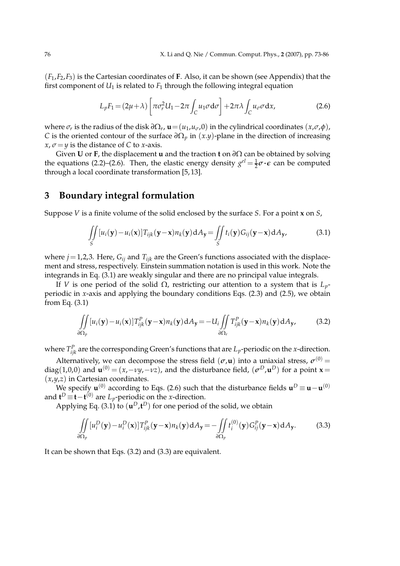(*F*1,*F*2,*F*3) is the Cartesian coordinates of **F**. Also, it can be shown (see Appendix) that the first component of  $U_1$  is related to  $F_1$  through the following integral equation

$$
L_p F_1 = (2\mu + \lambda) \left[ \pi \sigma_r^2 U_1 - 2\pi \int_C u_1 \sigma \, d\sigma \right] + 2\pi \lambda \int_C u_\sigma \sigma \, dx,\tag{2.6}
$$

where  $\sigma_r$  is the radius of the disk  $\partial\Omega_r$ ,  $\mathbf{u} = (u_1, u_\sigma, 0)$  in the cylindrical coordinates  $(x, \sigma, \phi)$ , *C* is the oriented contour of the surface  $\partial\Omega_p$  in  $(x,y)$ -plane in the direction of increasing *x*,  $\sigma = \gamma$  is the distance of *C* to *x*-axis.

Given **U** or **F**, the displacement **u** and the traction **t** on *∂*Ω can be obtained by solving the equations (2.2)–(2.6). Then, the elastic energy density  $g^{el} = \frac{1}{2}\sigma \cdot \epsilon$  can be computed through a local coordinate transformation [5, 13].

# **3 Boundary integral formulation**

Suppose *V* is a finite volume of the solid enclosed by the surface *S*. For a point **x** on *S*,

$$
\iint\limits_{S} [u_i(\mathbf{y}) - u_i(\mathbf{x})] T_{ijk}(\mathbf{y} - \mathbf{x}) n_k(\mathbf{y}) dA_{\mathbf{y}} = \iint\limits_{S} t_i(\mathbf{y}) G_{ij}(\mathbf{y} - \mathbf{x}) dA_{\mathbf{y}},
$$
(3.1)

where  $j = 1,2,3$ . Here,  $G_{ij}$  and  $T_{ijk}$  are the Green's functions associated with the displacement and stress, respectively. Einstein summation notation is used in this work. Note the integrands in Eq. (3.1) are weakly singular and there are no principal value integrals.

If *V* is one period of the solid Ω, restricting our attention to a system that is *Lp*periodic in *x*-axis and applying the boundary conditions Eqs. (2.3) and (2.5), we obtain from Eq. (3.1)

$$
\iint\limits_{\partial\Omega_p} [u_i(\mathbf{y}) - u_i(\mathbf{x})] T_{ijk}^P(\mathbf{y} - \mathbf{x}) n_k(\mathbf{y}) dA_{\mathbf{y}} = -U_i \iint\limits_{\partial\Omega_r} T_{ijk}^P(\mathbf{y} - \mathbf{x}) n_k(\mathbf{y}) dA_{\mathbf{y}},
$$
(3.2)

where  $T_{ijk}^P$  are the corresponding Green's functions that are  $L_p$ -periodic on the *x*-direction.

Alternatively, we can decompose the stress field  $(\sigma, \mathbf{u})$  into a uniaxial stress,  $\sigma^{(0)}$  = diag(1,0,0) and  $\mathbf{u}^{(0)} = (x, -vy, -vz)$ , and the disturbance field,  $(\sigma^D, \mathbf{u}^D)$  for a point **x** = (*x*,*y*,*z*) in Cartesian coordinates.

We specify  $\mathbf{u}^{(0)}$  according to Eqs. (2.6) such that the disturbance fields  $\mathbf{u}^D \equiv \mathbf{u} - \mathbf{u}^{(0)}$ and  $\mathbf{t}^D \equiv \mathbf{t} - \mathbf{t}^{(0)}$  are *L*<sub>*p*</sub>-periodic on the *x*-direction.

Applying Eq. (3.1) to  $(\mathbf{u}^D, \mathbf{t}^D)$  for one period of the solid, we obtain

$$
\iint\limits_{\partial\Omega_p} [u_i^D(\mathbf{y}) - u_i^D(\mathbf{x})] T_{ijk}^P(\mathbf{y} - \mathbf{x}) n_k(\mathbf{y}) \, dA_{\mathbf{y}} = -\iint\limits_{\partial\Omega_p} t_i^{(0)}(\mathbf{y}) G_{ij}^P(\mathbf{y} - \mathbf{x}) \, dA_{\mathbf{y}}.
$$
 (3.3)

It can be shown that Eqs. (3.2) and (3.3) are equivalent.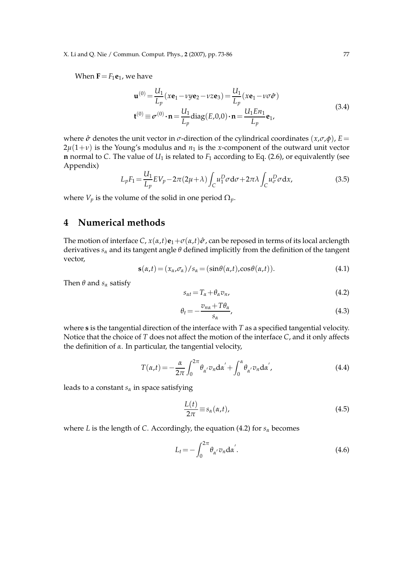X. Li and Q. Nie / Commun. Comput. Phys., **2** (2007), pp. 73-86 77

When  $\mathbf{F} = F_1 \mathbf{e}_1$ , we have

$$
\mathbf{u}^{(0)} = \frac{U_1}{L_p}(x\mathbf{e}_1 - \nu y\mathbf{e}_2 - \nu z\mathbf{e}_3) = \frac{U_1}{L_p}(x\mathbf{e}_1 - \nu \sigma \hat{\sigma})
$$
  

$$
\mathbf{t}^{(0)} \equiv \sigma^{(0)} \cdot \mathbf{n} = \frac{U_1}{L_p} \text{diag}(E, 0, 0) \cdot \mathbf{n} = \frac{U_1 E n_1}{L_p} \mathbf{e}_1,
$$
 (3.4)

where  $\hat{\sigma}$  denotes the unit vector in  $\sigma$ -direction of the cylindrical coordinates  $(x, \sigma, \phi)$ ,  $E =$  $2\mu(1+\nu)$  is the Young's modulus and  $n_1$  is the *x*-component of the outward unit vector **n** normal to *C*. The value of  $U_1$  is related to  $F_1$  according to Eq. (2.6), or equivalently (see Appendix)

$$
L_p F_1 = \frac{U_1}{L_p} E V_p - 2\pi (2\mu + \lambda) \int_C u_1^D \sigma \, d\sigma + 2\pi \lambda \int_C u_\sigma^D \sigma \, dx,\tag{3.5}
$$

where  $V_p$  is the volume of the solid in one period  $\Omega_p$ .

### **4 Numerical methods**

The motion of interface  $C$ ,  $x(\alpha,t)$ **e**<sub>1</sub>+ $\sigma(\alpha,t)$  $\hat{\sigma}$ , can be reposed in terms of its local arclength derivatives *s<sup>α</sup>* and its tangent angle *θ* defined implicitly from the definition of the tangent vector,

$$
\mathbf{s}(\alpha,t) = (x_{\alpha},\sigma_{\alpha})/s_{\alpha} = (\sin\theta(\alpha,t),\cos\theta(\alpha,t)).
$$
\n(4.1)

Then  $\theta$  and  $s_\alpha$  satisfy

$$
s_{\alpha t} = T_{\alpha} + \theta_{\alpha} v_{n}, \qquad (4.2)
$$

$$
\theta_t = -\frac{v_{n\alpha} + T\theta_\alpha}{s_\alpha},\tag{4.3}
$$

where **s** is the tangential direction of the interface with *T* as a specified tangential velocity. Notice that the choice of *T* does not affect the motion of the interface *C*, and it only affects the definition of *α*. In particular, the tangential velocity,

$$
T(\alpha, t) = -\frac{\alpha}{2\pi} \int_0^{2\pi} \theta_{\alpha'} v_n d\alpha' + \int_0^{\alpha} \theta_{\alpha'} v_n d\alpha',
$$
\n(4.4)

leads to a constant *s<sup>α</sup>* in space satisfying

$$
\frac{L(t)}{2\pi} \equiv s_{\alpha}(\alpha, t),\tag{4.5}
$$

where *L* is the length of *C*. Accordingly, the equation (4.2) for *s<sup>α</sup>* becomes

$$
L_t = -\int_0^{2\pi} \theta_{\alpha'} v_n \, \mathrm{d}\alpha'.
$$
\n(4.6)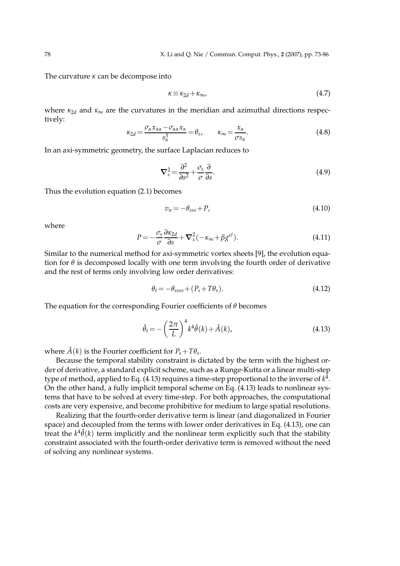The curvature *κ* can be decompose into

$$
\kappa \equiv \kappa_{2d} + \kappa_{\infty},\tag{4.7}
$$

where  $\kappa_{2d}$  and  $\kappa_{\infty}$  are the curvatures in the meridian and azimuthal directions respectively:

$$
\kappa_{2d} = \frac{\sigma_{\alpha} x_{\alpha\alpha} - \sigma_{\alpha\alpha} x_{\alpha}}{s_{\alpha}^3} = \theta_s, \qquad \kappa_{\infty} = \frac{x_{\alpha}}{\sigma s_{\alpha}}.
$$
\n(4.8)

In an axi-symmetric geometry, the surface Laplacian reduces to

$$
\nabla_s^2 = \frac{\partial^2}{\partial s^2} + \frac{\sigma_s}{\sigma} \frac{\partial}{\partial s}.
$$
\n(4.9)

Thus the evolution equation (2.1) becomes

$$
v_n = -\theta_{sss} + P,\tag{4.10}
$$

where

$$
P = -\frac{\sigma_s}{\sigma} \frac{\partial \kappa_{2d}}{\partial s} + \mathbf{\nabla}_s^2 (-\kappa_\infty + \beta g^{el}).
$$
\n(4.11)

Similar to the numerical method for axi-symmetric vortex sheets [9], the evolution equation for *θ* is decomposed locally with one term involving the fourth order of derivative and the rest of terms only involving low order derivatives:

$$
\theta_t = -\theta_{ssss} + (P_s + T\theta_s). \tag{4.12}
$$

The equation for the corresponding Fourier coefficients of *θ* becomes

$$
\hat{\theta}_t = -\left(\frac{2\pi}{L}\right)^4 k^4 \hat{\theta}(k) + \hat{A}(k),\tag{4.13}
$$

where  $\hat{A}(k)$  is the Fourier coefficient for  $P_s + T\theta_s$ .

Because the temporal stability constraint is dictated by the term with the highest order of derivative, a standard explicit scheme, such as a Runge-Kutta or a linear multi-step type of method, applied to Eq. (4.13) requires a time-step proportional to the inverse of  $k^4$ . On the other hand, a fully implicit temporal scheme on Eq. (4.13) leads to nonlinear systems that have to be solved at every time-step. For both approaches, the computational costs are very expensive, and become prohibitive for medium to large spatial resolutions.

Realizing that the fourth-order derivative term is linear (and diagonalized in Fourier space) and decoupled from the terms with lower order derivatives in Eq. (4.13), one can treat the  $k^4\hat{\theta}(k)$  term implicitly and the nonlinear term explicitly such that the stability constraint associated with the fourth-order derivative term is removed without the need of solving any nonlinear systems.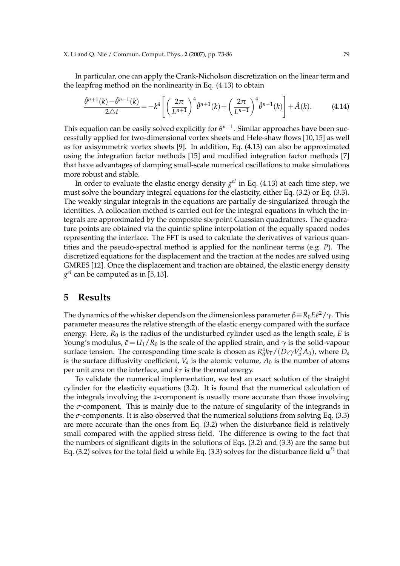In particular, one can apply the Crank-Nicholson discretization on the linear term and the leapfrog method on the nonlinearity in Eq. (4.13) to obtain

$$
\frac{\hat{\theta}^{n+1}(k) - \hat{\theta}^{n-1}(k)}{2\Delta t} = -k^4 \left[ \left( \frac{2\pi}{L^{n+1}} \right)^4 \hat{\theta}^{n+1}(k) + \left( \frac{2\pi}{L^{n-1}} \right)^4 \hat{\theta}^{n-1}(k) \right] + \hat{A}(k). \tag{4.14}
$$

This equation can be easily solved explicitly for  $\theta^{n+1}$ . Similar approaches have been successfully applied for two-dimensional vortex sheets and Hele-shaw flows [10, 15] as well as for axisymmetric vortex sheets [9]. In addition, Eq. (4.13) can also be approximated using the integration factor methods [15] and modified integration factor methods [7] that have advantages of damping small-scale numerical oscillations to make simulations more robust and stable.

In order to evaluate the elastic energy density *g el* in Eq. (4.13) at each time step, we must solve the boundary integral equations for the elasticity, either Eq. (3.2) or Eq. (3.3). The weakly singular integrals in the equations are partially de-singularized through the identities. A collocation method is carried out for the integral equations in which the integrals are approximated by the composite six-point Guassian quadratures. The quadrature points are obtained via the quintic spline interpolation of the equally spaced nodes representing the interface. The FFT is used to calculate the derivatives of various quantities and the pseudo-spectral method is applied for the nonlinear terms (e.g. *P*). The discretized equations for the displacement and the traction at the nodes are solved using GMRES [12]. Once the displacement and traction are obtained, the elastic energy density *g el* can be computed as in [5, 13].

#### **5 Results**

The dynamics of the whisker depends on the dimensionless parameter  $\beta$   $\equiv$   $R_0 E$  $\tilde{\epsilon}^2/\gamma$ . This parameter measures the relative strength of the elastic energy compared with the surface energy. Here,  $R_0$  is the radius of the undisturbed cylinder used as the length scale,  $E$  is Young's modulus,  $\tilde{\epsilon} = U_1/R_0$  is the scale of the applied strain, and  $\gamma$  is the solid-vapour surface tension. The corresponding time scale is chosen as  $R_0^4 k_T/(D_s \gamma V_a^2 A_0)$ , where  $D_s$ is the surface diffusivity coefficient,  $V_a$  is the atomic volume,  $A_0$  is the number of atoms per unit area on the interface, and  $k_T$  is the thermal energy.

To validate the numerical implementation, we test an exact solution of the straight cylinder for the elasticity equations (3.2). It is found that the numerical calculation of the integrals involving the *x*-component is usually more accurate than those involving the *σ*-component. This is mainly due to the nature of singularity of the integrands in the  $\sigma$ -components. It is also observed that the numerical solutions from solving Eq.  $(3.3)$ are more accurate than the ones from Eq. (3.2) when the disturbance field is relatively small compared with the applied stress field. The difference is owing to the fact that the numbers of significant digits in the solutions of Eqs. (3.2) and (3.3) are the same but Eq. (3.2) solves for the total field  $\bf{u}$  while Eq. (3.3) solves for the disturbance field  $\bf{u}^D$  that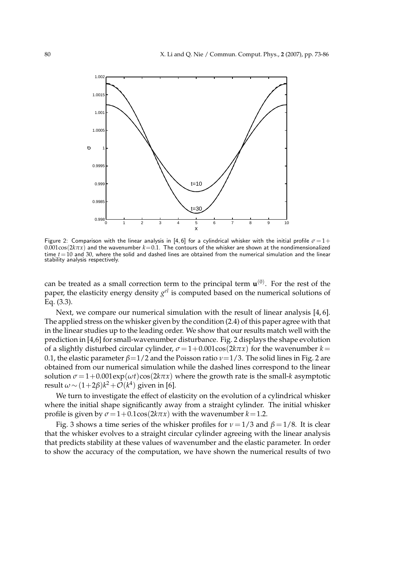

Figure 2: Comparison with the linear analysis in [4, 6] for a cylindrical whisker with the initial profile  $\sigma = 1 +$  $0.001\cos(2k\pi x)$  and the wavenumber  $k=0.1$ . The contours of the whisker are shown at the nondimensionalized time *t*=10 and 30, where the solid and dashed lines are obtained from the numerical simulation and the linear stability analysis respectively.

can be treated as a small correction term to the principal term  $\mathbf{u}^{(0)}$ . For the rest of the paper, the elasticity energy density *g el* is computed based on the numerical solutions of Eq. (3.3).

Next, we compare our numerical simulation with the result of linear analysis [4, 6]. The applied stress on the whisker given by the condition (2.4) of this paper agree with that in the linear studies up to the leading order. We show that our results match well with the prediction in [4,6] for small-wavenumber disturbance. Fig. 2 displays the shape evolution of a slightly disturbed circular cylinder,  $\sigma = 1+0.001\cos(2k\pi x)$  for the wavenumber  $k=$ 0.1, the elastic parameter *β*=1/2 and the Poisson ratio *ν*=1/3. The solid lines in Fig. 2 are obtained from our numerical simulation while the dashed lines correspond to the linear solution  $\sigma = 1+0.001 \exp(\omega t) \cos(2k\pi x)$  where the growth rate is the small-*k* asymptotic result  $\omega$  ~  $(1+2\beta)k^2+\mathcal{O}(k^4)$  given in [6].

We turn to investigate the effect of elasticity on the evolution of a cylindrical whisker where the initial shape significantly away from a straight cylinder. The initial whisker profile is given by  $\sigma = 1+0.1\cos(2k\pi x)$  with the wavenumber  $k=1.2$ .

Fig. 3 shows a time series of the whisker profiles for  $\nu = 1/3$  and  $\beta = 1/8$ . It is clear that the whisker evolves to a straight circular cylinder agreeing with the linear analysis that predicts stability at these values of wavenumber and the elastic parameter. In order to show the accuracy of the computation, we have shown the numerical results of two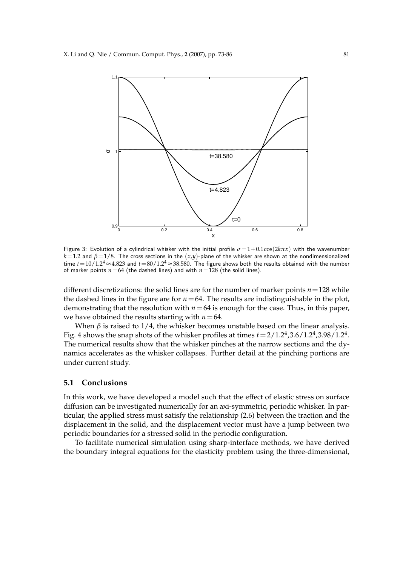

Figure 3: Evolution of a cylindrical whisker with the initial profile  $\sigma = 1+0.1\cos(2k\pi x)$  with the wavenumber *k*=1.2 and *β*=1/8. The cross sections in the (*x*,*y*)-plane of the whisker are shown at the nondimensionalized time  $t=10/1.2^4 \approx 4.823$  and  $t=80/1.2^4 \approx 38.580$ . The figure shows both the results obtained with the number of marker points  $n=64$  (the dashed lines) and with  $n=128$  (the solid lines).

different discretizations: the solid lines are for the number of marker points *n*=128 while the dashed lines in the figure are for  $n=64$ . The results are indistinguishable in the plot, demonstrating that the resolution with  $n=64$  is enough for the case. Thus, in this paper, we have obtained the results starting with  $n=64$ .

When  $\beta$  is raised to 1/4, the whisker becomes unstable based on the linear analysis. Fig. 4 shows the snap shots of the whisker profiles at times  $t = 2/1.2^4$  ,  $3.6/1.2^4$  ,  $3.98/1.2^4$  . The numerical results show that the whisker pinches at the narrow sections and the dynamics accelerates as the whisker collapses. Further detail at the pinching portions are under current study.

#### **5.1 Conclusions**

In this work, we have developed a model such that the effect of elastic stress on surface diffusion can be investigated numerically for an axi-symmetric, periodic whisker. In particular, the applied stress must satisfy the relationship (2.6) between the traction and the displacement in the solid, and the displacement vector must have a jump between two periodic boundaries for a stressed solid in the periodic configuration.

To facilitate numerical simulation using sharp-interface methods, we have derived the boundary integral equations for the elasticity problem using the three-dimensional,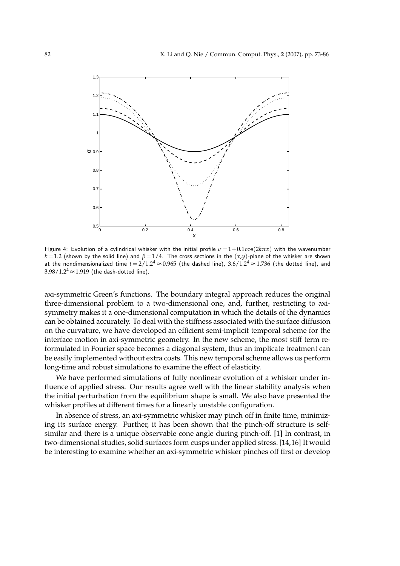

Figure 4: Evolution of a cylindrical whisker with the initial profile  $\sigma = 1+0.1\cos(2k\pi x)$  with the wavenumber  $k=1.2$  (shown by the solid line) and  $\beta=1/4$ . The cross sections in the  $(x,y)$ -plane of the whisker are shown at the nondimensionalized time  $t = 2/1.2^4 \approx 0.965$  (the dashed line),  $3.6/1.2^4 \approx 1.736$  (the dotted line), and  $3.98/1.2^{4} \approx 1.919$  (the dash-dotted line).

axi-symmetric Green's functions. The boundary integral approach reduces the original three-dimensional problem to a two-dimensional one, and, further, restricting to axisymmetry makes it a one-dimensional computation in which the details of the dynamics can be obtained accurately. To deal with the stiffness associated with the surface diffusion on the curvature, we have developed an efficient semi-implicit temporal scheme for the interface motion in axi-symmetric geometry. In the new scheme, the most stiff term reformulated in Fourier space becomes a diagonal system, thus an implicate treatment can be easily implemented without extra costs. This new temporal scheme allows us perform long-time and robust simulations to examine the effect of elasticity.

We have performed simulations of fully nonlinear evolution of a whisker under influence of applied stress. Our results agree well with the linear stability analysis when the initial perturbation from the equilibrium shape is small. We also have presented the whisker profiles at different times for a linearly unstable configuration.

In absence of stress, an axi-symmetric whisker may pinch off in finite time, minimizing its surface energy. Further, it has been shown that the pinch-off structure is selfsimilar and there is a unique observable cone angle during pinch-off. [1] In contrast, in two-dimensional studies, solid surfaces form cusps under applied stress. [14,16] It would be interesting to examine whether an axi-symmetric whisker pinches off first or develop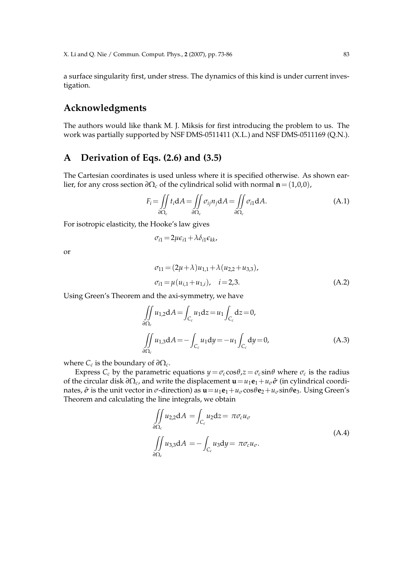a surface singularity first, under stress. The dynamics of this kind is under current investigation.

### **Acknowledgments**

The authors would like thank M. J. Miksis for first introducing the problem to us. The work was partially supported by NSF DMS-0511411 (X.L.) and NSF DMS-0511169 (Q.N.).

### **A Derivation of Eqs. (2.6) and (3.5)**

The Cartesian coordinates is used unless where it is specified otherwise. As shown earlier, for any cross section  $\partial \Omega_c$  of the cylindrical solid with normal **n** = (1,0,0),

$$
F_i = \iint\limits_{\partial \Omega_c} t_i \, dA = \iint\limits_{\partial \Omega_c} \sigma_{ij} n_j \, dA = \iint\limits_{\partial \Omega_c} \sigma_{i1} \, dA. \tag{A.1}
$$

For isotropic elasticity, the Hooke's law gives

$$
\sigma_{i1} = 2\mu\epsilon_{i1} + \lambda\delta_{i1}\epsilon_{kk},
$$

or

$$
\sigma_{11} = (2\mu + \lambda)u_{1,1} + \lambda (u_{2,2} + u_{3,3}),
$$
  
\n
$$
\sigma_{i1} = \mu (u_{i,1} + u_{1,i}), \quad i = 2,3.
$$
\n(A.2)

Using Green's Theorem and the axi-symmetry, we have

$$
\iint_{\partial \Omega_c} u_{1,2} dA = \int_{C_c} u_1 dz = u_1 \int_{C_c} dz = 0,
$$
\n
$$
\iint_{\partial \Omega_c} u_{1,3} dA = -\int_{C_c} u_1 dy = -u_1 \int_{C_c} dy = 0,
$$
\n(A.3)

where  $C_c$  is the boundary of  $\partial \Omega_c$ .

Express  $C_c$  by the parametric equations  $y = \sigma_c \cos\theta$ ,  $z = \sigma_c \sin\theta$  where  $\sigma_c$  is the radius of the circular disk *∂*Ω*<sup>c</sup>* , and write the displacement **u**=*u*1**e**1+*uσσ*ˆ (in cylindrical coordinates,  $\hat{\sigma}$  is the unit vector in  $\sigma$ -direction) as  $\mathbf{u} = u_1 \mathbf{e}_1 + u_\sigma \cos \theta \mathbf{e}_2 + u_\sigma \sin \theta \mathbf{e}_3$ . Using Green's Theorem and calculating the line integrals, we obtain

$$
\iint_{\partial\Omega_c} u_{2,2} dA = \int_{C_c} u_2 dz = \pi \sigma_c u_\sigma
$$
\n
$$
\iint_{\partial\Omega_c} u_{3,3} dA = -\int_{C_c} u_3 dy = \pi \sigma_c u_\sigma.
$$
\n(A.4)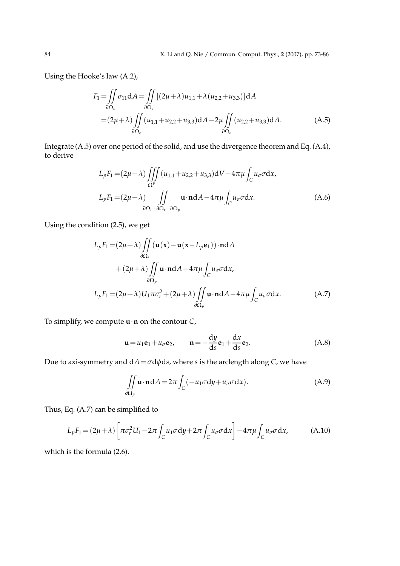Using the Hooke's law (A.2),

$$
F_1 = \iint_{\partial \Omega_c} \sigma_{11} dA = \iint_{\partial \Omega_c} [(2\mu + \lambda)u_{1,1} + \lambda (u_{2,2} + u_{3,3})] dA
$$
  
=  $(2\mu + \lambda) \iint_{\partial \Omega_c} (u_{1,1} + u_{2,2} + u_{3,3}) dA - 2\mu \iint_{\partial \Omega_c} (u_{2,2} + u_{3,3}) dA.$  (A.5)

Integrate (A.5) over one period of the solid, and use the divergence theorem and Eq. (A.4), to derive

$$
L_p F_1 = (2\mu + \lambda) \iiint_{\Omega^p} (u_{1,1} + u_{2,2} + u_{3,3}) dV - 4\pi \mu \int_C u_\sigma \sigma dx,
$$
  
\n
$$
L_p F_1 = (2\mu + \lambda) \iint_{\partial \Omega_l + \partial \Omega_r + \partial \Omega_p} \mathbf{u} \cdot \mathbf{n} dA - 4\pi \mu \int_C u_\sigma \sigma dx.
$$
 (A.6)

Using the condition (2.5), we get

$$
L_p F_1 = (2\mu + \lambda) \iint_{\partial \Omega_r} (\mathbf{u}(\mathbf{x}) - \mathbf{u}(\mathbf{x} - L_p \mathbf{e}_1)) \cdot \mathbf{n} dA + (2\mu + \lambda) \iint_{\partial \Omega_p} \mathbf{u} \cdot \mathbf{n} dA - 4\pi \mu \int_C u_\sigma \sigma dx, L_p F_1 = (2\mu + \lambda) U_1 \pi \sigma_r^2 + (2\mu + \lambda) \iint_{\partial \Omega_p} \mathbf{u} \cdot \mathbf{n} dA - 4\pi \mu \int_C u_\sigma \sigma dx.
$$
 (A.7)

To simplify, we compute **u**·**n** on the contour *C*,

$$
\mathbf{u} = u_1 \mathbf{e}_1 + u_\sigma \mathbf{e}_2, \qquad \mathbf{n} = -\frac{dy}{ds} \mathbf{e}_1 + \frac{dx}{ds} \mathbf{e}_2.
$$
 (A.8)

Due to axi-symmetry and d*A*=*σ*d*φ*d*s*, where *s* is the arclength along *C*, we have

$$
\iint\limits_{\partial\Omega_p} \mathbf{u} \cdot \mathbf{n} \, dA = 2\pi \int_C (-u_1 \sigma dy + u_\sigma \sigma dx). \tag{A.9}
$$

Thus, Eq. (A.7) can be simplified to

$$
L_p F_1 = (2\mu + \lambda) \left[ \pi \sigma_r^2 U_1 - 2\pi \int_C u_1 \sigma \, \mathrm{d}y + 2\pi \int_C u_\sigma \sigma \, \mathrm{d}x \right] - 4\pi \mu \int_C u_\sigma \sigma \, \mathrm{d}x,\tag{A.10}
$$

which is the formula (2.6).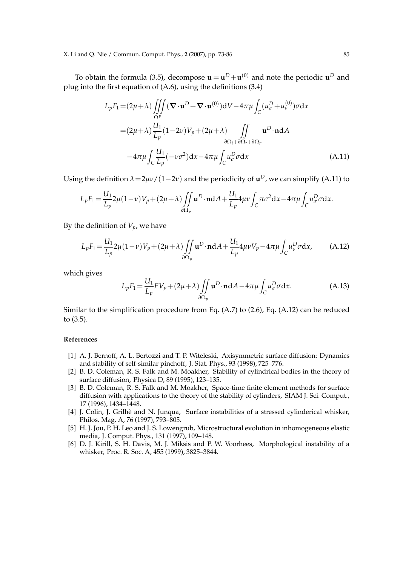To obtain the formula (3.5), decompose  $\mathbf{u} = \mathbf{u}^D + \mathbf{u}^{(0)}$  and note the periodic  $\mathbf{u}^D$  and plug into the first equation of (A.6), using the definitions (3.4)

$$
L_p F_1 = (2\mu + \lambda) \iiint_{\Omega^p} (\nabla \cdot \mathbf{u}^D + \nabla \cdot \mathbf{u}^{(0)}) dV - 4\pi \mu \int_C (u^D_\sigma + u^{(0)}_\sigma) \sigma dx
$$
  

$$
= (2\mu + \lambda) \frac{U_1}{L_p} (1 - 2\nu) V_p + (2\mu + \lambda) \iint_{\partial \Omega_l + \partial \Omega_r + \partial \Omega_p} \mathbf{u}^D \cdot \mathbf{n} dA
$$
  

$$
-4\pi \mu \int_C \frac{U_1}{L_p} (-\nu \sigma^2) dx - 4\pi \mu \int_C u^D_\sigma \sigma dx
$$
 (A.11)

Using the definition  $\lambda = 2\mu v / (1 - 2v)$  and the periodicity of  $\mathbf{u}^D$ , we can simplify (A.11) to

$$
L_p F_1 = \frac{U_1}{L_p} 2\mu (1-\nu) V_p + (2\mu + \lambda) \iint\limits_{\partial \Omega_p} \mathbf{u}^D \cdot \mathbf{n} dA + \frac{U_1}{L_p} 4\mu \nu \int_C \pi \sigma^2 dx - 4\pi \mu \int_C u^D_{\sigma} \sigma dx.
$$

By the definition of  $V_p$ , we have

$$
L_p F_1 = \frac{U_1}{L_p} 2\mu (1 - \nu) V_p + (2\mu + \lambda) \iint\limits_{\partial \Omega_p} \mathbf{u}^D \cdot \mathbf{n} dA + \frac{U_1}{L_p} 4\mu \nu V_p - 4\pi \mu \int_C u_\sigma^D \sigma dx, \tag{A.12}
$$

which gives

$$
L_p F_1 = \frac{U_1}{L_p} E V_p + (2\mu + \lambda) \iint\limits_{\partial \Omega_p} \mathbf{u}^D \cdot \mathbf{n} dA - 4\pi \mu \int_C u^D_\sigma \sigma dx.
$$
 (A.13)

Similar to the simplification procedure from Eq. (A.7) to (2.6), Eq. (A.12) can be reduced to (3.5).

#### **References**

- [1] A. J. Bernoff, A. L. Bertozzi and T. P. Witeleski, Axisymmetric surface diffusion: Dynamics and stability of self-similar pinchoff, J. Stat. Phys., 93 (1998), 725–776.
- [2] B. D. Coleman, R. S. Falk and M. Moakher, Stability of cylindrical bodies in the theory of surface diffusion, Physica D, 89 (1995), 123–135.
- [3] B. D. Coleman, R. S. Falk and M. Moakher, Space-time finite element methods for surface diffusion with applications to the theory of the stability of cylinders, SIAM J. Sci. Comput., 17 (1996), 1434–1448.
- [4] J. Colin, J. Grilhè and N. Junqua, Surface instabilities of a stressed cylinderical whisker, Philos. Mag. A, 76 (1997), 793–805.
- [5] H. J. Jou, P. H. Leo and J. S. Lowengrub, Microstructural evolution in inhomogeneous elastic media, J. Comput. Phys., 131 (1997), 109–148.
- [6] D. J. Kirill, S. H. Davis, M. J. Miksis and P. W. Voorhees, Morphological instability of a whisker, Proc. R. Soc. A, 455 (1999), 3825–3844.